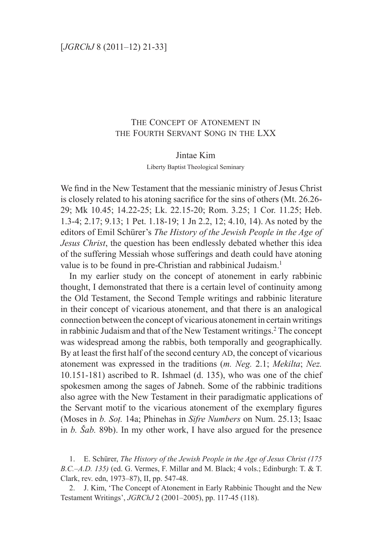## The Concept of Atonement in the Fourth Servant Song in the LXX

## Jintae Kim

Liberty Baptist Theological Seminary

We find in the New Testament that the messianic ministry of Jesus Christ is closely related to his atoning sacrifice for the sins of others (Mt. 26.26- 29; Mk 10.45; 14.22-25; Lk. 22.15-20; Rom. 3.25; 1 Cor. 11.25; Heb. 1.3-4; 2.17; 9.13; 1 Pet. 1.18-19; 1 Jn 2.2, 12; 4.10, 14). As noted by the editors of Emil Schürer's *The History of the Jewish People in the Age of Jesus Christ*, the question has been endlessly debated whether this idea of the suffering Messiah whose sufferings and death could have atoning value is to be found in pre-Christian and rabbinical Judaism.<sup>1</sup>

In my earlier study on the concept of atonement in early rabbinic thought, I demonstrated that there is a certain level of continuity among the Old Testament, the Second Temple writings and rabbinic literature in their concept of vicarious atonement, and that there is an analogical connection between the concept of vicarious atonement in certain writings in rabbinic Judaism and that of the New Testament writings.<sup>2</sup> The concept was widespread among the rabbis, both temporally and geographically. By at least the first half of the second century AD, the concept of vicarious atonement was expressed in the traditions (*m. Neg.* 2.1; *Mekilta*; *Nez.*  10.151-181) ascribed to R. Ishmael (d. 135), who was one of the chief spokesmen among the sages of Jabneh. Some of the rabbinic traditions also agree with the New Testament in their paradigmatic applications of the Servant motif to the vicarious atonement of the exemplary figures (Moses in *b. Sot.* 14a; Phinehas in *Sifre Numbers* on Num. 25.13; Isaac in *b. Šab.* 89b). In my other work, I have also argued for the presence

1. E. Schürer, *The History of the Jewish People in the Age of Jesus Christ (175 B.C.–A.D. 135)* (ed. G. Vermes, F. Millar and M. Black; 4 vols.; Edinburgh: T. & T. Clark, rev. edn, 1973–87), II, pp. 547-48.

2. J. Kim, 'The Concept of Atonement in Early Rabbinic Thought and the New Testament Writings', *JGRChJ* 2 (2001–2005), pp. 117-45 (118).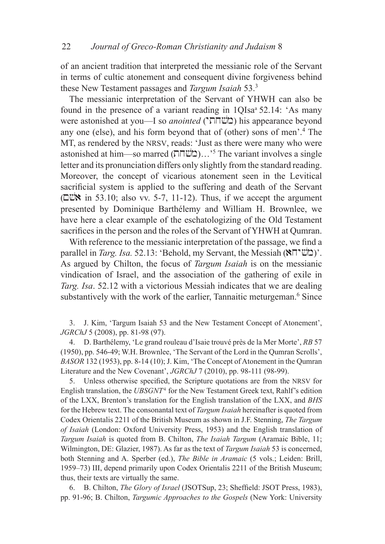of an ancient tradition that interpreted the messianic role of the Servant in terms of cultic atonement and consequent divine forgiveness behind these New Testament passages and *Targum Isaiah* 53.<sup>3</sup>

The messianic interpretation of the Servant of YHWH can also be found in the presence of a variant reading in  $1OIsa^3 52.14$ : 'As many were astonished at you—I so *anointed* ("**מ**ֹשׂחת") his appearance beyond any one (else), and his form beyond that of (other) sons of men'.4 The MT, as rendered by the NRSV, reads: 'Just as there were many who were astonished at him—so marred (בוֹשחת)...'<sup>5</sup> The variant involves a single letter and its pronunciation differs only slightly from the standard reading. Moreover, the concept of vicarious atonement seen in the Levitical sacrificial system is applied to the suffering and death of the Servant ( $\square$ W in 53.10; also vv. 5-7, 11-12). Thus, if we accept the argument presented by Dominique Barthélemy and William H. Brownlee, we have here a clear example of the eschatologizing of the Old Testament sacrifices in the person and the roles of the Servant of YHWH at Qumran.

With reference to the messianic interpretation of the passage, we find a parallel in *Targ. Isa.* 52.13: 'Behold, my Servant, the Messiah ("ה)'. As argued by Chilton, the focus of *Targum Isaiah* is on the messianic vindication of Israel, and the association of the gathering of exile in *Targ. Isa*. 52.12 with a victorious Messiah indicates that we are dealing substantively with the work of the earlier, Tannaitic meturgeman.<sup>6</sup> Since

3. J. Kim, 'Targum Isaiah 53 and the New Testament Concept of Atonement', *JGRChJ* 5 (2008), pp. 81-98 (97).

4. D. Barthélemy, 'Le grand rouleau d'Isaie trouvé près de la Mer Morte', *RB* 57 (1950), pp. 546-49; W.H. Brownlee, 'The Servant of the Lord in the Qumran Scrolls', *BASOR* 132 (1953), pp. 8-14 (10); J. Kim, 'The Concept of Atonement in the Qumran Literature and the New Covenant', *JGRChJ* 7 (2010), pp. 98-111 (98-99).

5. Unless otherwise specified, the Scripture quotations are from the nrsv for English translation, the *UBSGNT*4 for the New Testament Greek text, Rahlf's edition of the LXX, Brenton's translation for the English translation of the LXX, and *BHS* for the Hebrew text. The consonantal text of *Targum Isaiah* hereinafter is quoted from Codex Orientalis 2211 of the British Museum as shown in J.F. Stenning, *The Targum of Isaiah* (London: Oxford University Press, 1953) and the English translation of *Targum Isaiah* is quoted from B. Chilton, *The Isaiah Targum* (Aramaic Bible, 11; Wilmington, DE: Glazier, 1987). As far as the text of *Targum Isaiah* 53 is concerned, both Stenning and A. Sperber (ed.), *The Bible in Aramaic* (5 vols.; Leiden: Brill, 1959–73) III, depend primarily upon Codex Orientalis 2211 of the British Museum; thus, their texts are virtually the same.

6. B. Chilton, *The Glory of Israel* (JSOTSup, 23; Sheffield: JSOT Press, 1983), pp. 91-96; B. Chilton, *Targumic Approaches to the Gospels* (New York: University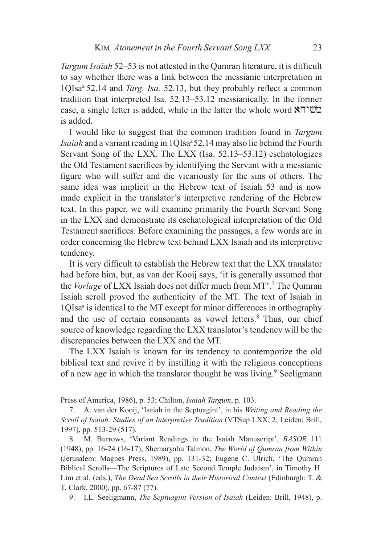*Targum Isaiah* 52–53 is not attested in the Qumran literature, it is difficult to say whether there was a link between the messianic interpretation in 1QIsa<sup>a</sup>52.14 and *Targ. Isa.* 52.13, but they probably reflect a common tradition that interpreted Isa. 52.13–53.12 messianically. In the former case, a single letter is added, while in the latter the whole word  $\mathbb{N}$ is added.

I would like to suggest that the common tradition found in *Targum Isaiah* and a variant reading in 1QIsa<sup>a</sup> 52.14 may also lie behind the Fourth Servant Song of the LXX. The LXX (Isa. 52.13–53.12) eschatologizes the Old Testament sacrifices by identifying the Servant with a messianic figure who will suffer and die vicariously for the sins of others. The same idea was implicit in the Hebrew text of Isaiah 53 and is now made explicit in the translator's interpretive rendering of the Hebrew text. In this paper, we will examine primarily the Fourth Servant Song in the LXX and demonstrate its eschatological interpretation of the Old Testament sacrifices. Before examining the passages, a few words are in order concerning the Hebrew text behind LXX Isaiah and its interpretive tendency.

It is very difficult to establish the Hebrew text that the LXX translator had before him, but, as van der Kooij says, 'it is generally assumed that the *Vorlage* of LXX Isaiah does not differ much from MT'.7 The Qumran Isaiah scroll proved the authenticity of the MT. The text of Isaiah in 1QIsa<sup>a</sup> is identical to the MT except for minor differences in orthography and the use of certain consonants as vowel letters.<sup>8</sup> Thus, our chief source of knowledge regarding the LXX translator's tendency will be the discrepancies between the LXX and the MT.

The LXX Isaiah is known for its tendency to contemporize the old biblical text and revive it by instilling it with the religious conceptions of a new age in which the translator thought he was living.<sup>9</sup> Seeligmann

Press of America, 1986), p. 53; Chilton, *Isaiah Targum*, p. 103.

7. A. van der Kooij, 'Isaiah in the Septuagint', in his *Writing and Reading the Scroll of Isaiah: Studies of an Interpretive Tradition* (VTSup LXX, 2; Leiden: Brill, 1997), pp. 513-29 (517).

8. M. Burrows, 'Variant Readings in the Isaiah Manuscript', *BASOR* 111 (1948), pp. 16-24 (16-17); Shemaryahu Talmon, *The World of Qumran from Within* (Jerusalem: Magnes Press, 1989), pp. 131-32; Eugene C. Ulrich, 'The Qumran Biblical Scrolls—The Scriptures of Late Second Temple Judaism', in Timothy H. Lim et al. (eds.), *The Dead Sea Scrolls in their Historical Context* (Edinburgh: T. & T. Clark, 2000), pp. 67-87 (77).

9. I.L. Seeligmann, *The Septuagint Version of Isaiah* (Leiden: Brill, 1948), p.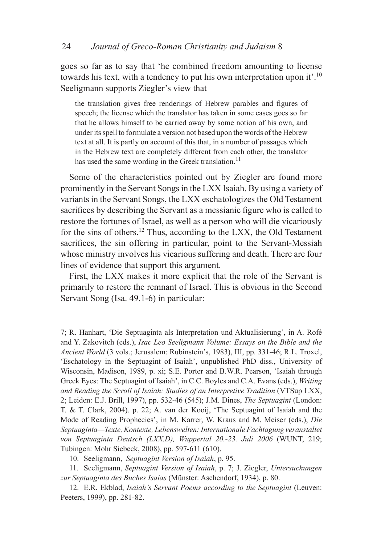goes so far as to say that 'he combined freedom amounting to license towards his text, with a tendency to put his own interpretation upon it'.<sup>10</sup> Seeligmann supports Ziegler's view that

the translation gives free renderings of Hebrew parables and figures of speech; the license which the translator has taken in some cases goes so far that he allows himself to be carried away by some notion of his own, and under its spell to formulate a version not based upon the words of the Hebrew text at all. It is partly on account of this that, in a number of passages which in the Hebrew text are completely different from each other, the translator has used the same wording in the Greek translation.<sup>11</sup>

Some of the characteristics pointed out by Ziegler are found more prominently in the Servant Songs in the LXX Isaiah. By using a variety of variants in the Servant Songs, the LXX eschatologizes the Old Testament sacrifices by describing the Servant as a messianic figure who is called to restore the fortunes of Israel, as well as a person who will die vicariously for the sins of others.<sup>12</sup> Thus, according to the LXX, the Old Testament sacrifices, the sin offering in particular, point to the Servant-Messiah whose ministry involves his vicarious suffering and death. There are four lines of evidence that support this argument.

First, the LXX makes it more explicit that the role of the Servant is primarily to restore the remnant of Israel. This is obvious in the Second Servant Song (Isa. 49.1-6) in particular:

7; R. Hanhart, 'Die Septuaginta als Interpretation und Aktualisierung', in A. Rofé and Y. Zakovitch (eds.), *Isac Leo Seeligmann Volume: Essays on the Bible and the Ancient World* (3 vols.; Jerusalem: Rubinstein's, 1983), III, pp. 331-46; R.L. Troxel, 'Eschatology in the Septuagint of Isaiah', unpublished PhD diss., University of Wisconsin, Madison, 1989, p. xi; S.E. Porter and B.W.R. Pearson, 'Isaiah through Greek Eyes: The Septuagint of Isaiah', in C.C. Boyles and C.A. Evans (eds.), *Writing and Reading the Scroll of Isaiah: Studies of an Interpretive Tradition* (VTSup LXX, 2; Leiden: E.J. Brill, 1997), pp. 532-46 (545); J.M. Dines, *The Septuagint* (London: T. & T. Clark, 2004). p. 22; A. van der Kooij, 'The Septuagint of Isaiah and the Mode of Reading Prophecies', in M. Karrer, W. Kraus and M. Meiser (eds.), *Die Septuaginta—Texte, Kontexte, Lebenswelten: Internationale Fachtagung veranstaltet von Septuaginta Deutsch (LXX.D), Wuppertal 20.-23. Juli 2006* (WUNT, 219; Tubingen: Mohr Siebeck, 2008), pp. 597-611 (610).

10. Seeligmann, *Septuagint Version of Isaiah*, p. 95.

11. Seeligmann, *Septuagint Version of Isaiah*, p. 7; J. Ziegler, *Untersuchungen zur Septuaginta des Buches Isaias* (Münster: Aschendorf, 1934), p. 80.

12. E.R. Ekblad, *Isaiah's Servant Poems according to the Septuagint* (Leuven: Peeters, 1999), pp. 281-82.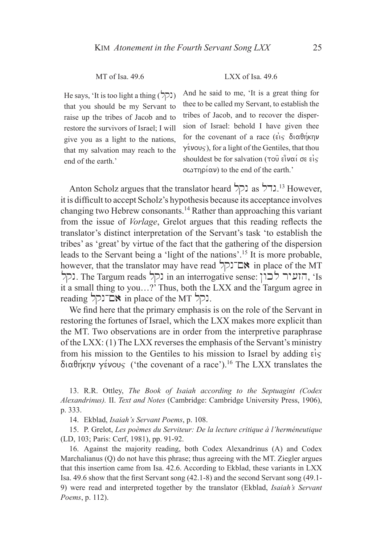He says, 'It is too light a thing  $(2)$ ) that you should be my Servant to raise up the tribes of Jacob and to restore the survivors of Israel; I will give you as a light to the nations, that my salvation may reach to the end of the earth<sup>'</sup>

## MT of Isa 49.6 LXX of Isa 49.6

And he said to me, 'It is a great thing for thee to be called my Servant, to establish the tribes of Jacob, and to recover the dispersion of Israel: behold I have given thee for the covenant of a race ( $\epsilon$ is  $\delta$ i $\alpha$  $\theta$ η $\kappa$ ην  $\gamma$  (ivous), for a light of the Gentiles, that thou shouldest be for salvation ( $\tau$ oû  $\epsilon$ i $\nu$ ai/ o $\epsilon$  ei $\varsigma$  $\sigma\omega\tau\eta\rho(\alpha\nu)$  to the end of the earth.'

Anton Scholz argues that the translator heard  $\Box$ גדל as las lates. it is difficult to accept Scholz's hypothesis because its acceptance involves changing two Hebrew consonants.14 Rather than approaching this variant from the issue of *Vorlage*, Grelot argues that this reading reflects the translator's distinct interpretation of the Servant's task 'to establish the tribes' as 'great' by virtue of the fact that the gathering of the dispersion leads to the Servant being a 'light of the nations'.15 It is more probable, however, that the translator may have read  $\sum \Box \blacktriangleright$  in place of the MT lqn. The Targum reads הזעיר לכון. The Targum reads הועיר לכון, 'Is it a small thing to you…?' Thus, both the LXX and the Targum agree in reading ונקל in place of the MT אם־נקל.

We find here that the primary emphasis is on the role of the Servant in restoring the fortunes of Israel, which the LXX makes more explicit than the MT. Two observations are in order from the interpretive paraphrase of the LXX: (1) The LXX reverses the emphasis of the Servant's ministry from his mission to the Gentiles to his mission to Israel by adding  $\epsilon$ <sub>15</sub>  $\delta$ ιαθήκην γένους ('the covenant of a race').<sup>16</sup> The LXX translates the

13. R.R. Ottley, *The Book of Isaiah according to the Septuagint (Codex Alexandrinus).* II. *Text and Notes* (Cambridge: Cambridge University Press, 1906), p. 333.

14. Ekblad, *Isaiah's Servant Poems*, p. 108.

15. P. Grelot, *Les poèmes du Serviteur: De la lecture critique à l'herméneutique* (LD, 103; Paris: Cerf, 1981), pp. 91-92.

16. Against the majority reading, both Codex Alexandrinus (A) and Codex Marchalianus (Q) do not have this phrase; thus agreeing with the MT. Ziegler argues that this insertion came from Isa. 42.6. According to Ekblad, these variants in LXX Isa. 49.6 show that the first Servant song (42.1-8) and the second Servant song (49.1- 9) were read and interpreted together by the translator (Ekblad, *Isaiah's Servant Poems*, p. 112).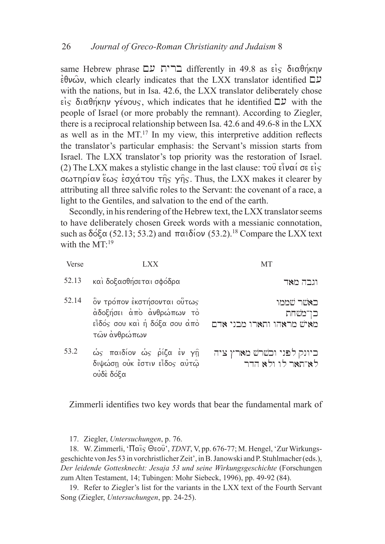same Hebrew phrase  $\Box$  ברית עם differently in 49.8 as είς διαθήκην  $\epsilon\theta\nu\omega\nu$ , which clearly indicates that the LXX translator identified  $\Box \nu$ with the nations, but in Isa. 42.6, the LXX translator deliberately chose  $\epsilon$  is  $\delta$  is  $\alpha\theta$  photonstandard vertice indicates that he identified  $\Box$  with the people of Israel (or more probably the remnant). According to Ziegler, there is a reciprocal relationship between Isa. 42.6 and 49.6-8 in the LXX as well as in the  $MT<sup>17</sup>$  In my view, this interpretive addition reflects the translator's particular emphasis: the Servant's mission starts from Israel. The LXX translator's top priority was the restoration of Israel. (2) The LXX makes a stylistic change in the last clause:  $\tau$ ou  $\epsilon \hat{i}$ v $\alpha i$  or  $\epsilon i$  $\sigma$   $\omega$   $\tau$   $\gamma$   $\sigma$   $\gamma$   $\sigma$   $\gamma$   $\sigma$   $\gamma$   $\sigma$   $\gamma$   $\sigma$   $\gamma$   $\sigma$   $\gamma$ . Thus, the LXX makes it clearer by attributing all three salvific roles to the Servant: the covenant of a race, a light to the Gentiles, and salvation to the end of the earth.

Secondly, in his rendering of the Hebrew text, the LXX translator seems to have deliberately chosen Greek words with a messianic connotation, such as  $\delta$ o $\delta$  $\alpha$  (52.13; 53.2) and  $\pi \alpha$  $\delta$ iov (53.2).<sup>18</sup> Compare the LXX text with the  $MT<sup>.19</sup>$ 

| Verse | $\cdot$ XX                                                                                              | <b>MT</b>                                         |
|-------|---------------------------------------------------------------------------------------------------------|---------------------------------------------------|
| 52.13 | και δοξασθήσεται σφόδρα                                                                                 | וגבה מאד                                          |
| 52.14 | ὃν τρόπον εκστήσονται ούτως<br>άδοξήσει άπο ανθρώπων το<br>εἶδός σου καὶ ἡ δόξα σου ἀπὸ<br>τών ανθρώπων | כאשר שממו<br>כן־משחת<br>מאיש מראהו ותארו מבני אדם |
| 53.2  | ώς παιδίον ώς ρίζα έν γη<br>διψώση ούκ έστιν είδος αύτω<br>ούδε δόξα                                    | כיונק לפני וכשרש מארץ ציה<br>לא־תאר לו ולא הדר    |

Zimmerli identifies two key words that bear the fundamental mark of

17. Ziegler, *Untersuchungen*, p. 76.

18. W. Zimmerli, 'Παις Θεού', *TDNT*, V, pp. 676-77; M. Hengel, 'Zur Wirkungsgeschichte von Jes 53 in vorchristlicher Zeit', in B. Janowski and P. Stuhlmacher (eds.), *Der leidende Gottesknecht: Jesaja 53 und seine Wirkungsgeschichte* (Forschungen zum Alten Testament, 14; Tubingen: Mohr Siebeck, 1996), pp. 49-92 (84).

19. Refer to Ziegler's list for the variants in the LXX text of the Fourth Servant Song (Ziegler, *Untersuchungen*, pp. 24-25).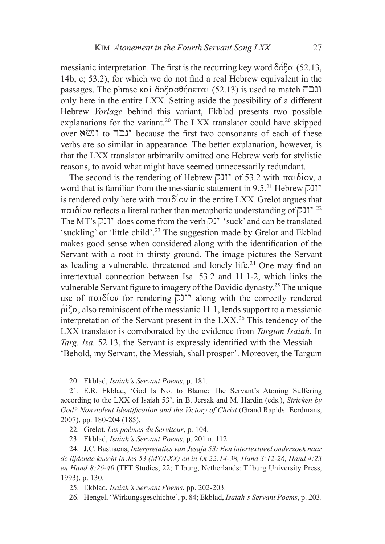messianic interpretation. The first is the recurring key word  $\delta \acute{o} \epsilon \alpha$  (52.13, 14b, c; 53.2), for which we do not find a real Hebrew equivalent in the passages. The phrase και δοξασθήσεται (52.13) is used to match  $\overline{121}$ only here in the entire LXX. Setting aside the possibility of a different Hebrew *Vorlage* behind this variant, Ekblad presents two possible explanations for the variant.<sup>20</sup> The LXX translator could have skipped over וגבה to ונשא because the first two consonants of each of these verbs are so similar in appearance. The better explanation, however, is that the LXX translator arbitrarily omitted one Hebrew verb for stylistic reasons, to avoid what might have seemed unnecessarily redundant.

The second is the rendering of Hebrew  $\triangleright$ <sup>1</sup> of 53.2 with  $\pi\alpha\delta$ iov, a word that is familiar from the messianic statement in 9.5.<sup>21</sup> Hebrew  $\Box$ is rendered only here with  $\pi\alpha\delta(\omega)$  in the entire LXX. Grelot argues that  $\pi\alpha\iota\delta$ ίον reflects a literal rather than metaphoric understanding of  $\Box$ <sup>22</sup> The MT's  $\triangleright$  I' does come from the verb  $\triangleright$  'suck' and can be translated 'suckling' or 'little child'.<sup>23</sup> The suggestion made by Grelot and Ekblad makes good sense when considered along with the identification of the Servant with a root in thirsty ground. The image pictures the Servant as leading a vulnerable, threatened and lonely life.<sup>24</sup> One may find an intertextual connection between Isa. 53.2 and 11.1-2, which links the vulnerable Servant figure to imagery of the Davidic dynasty.25 The unique use of παιδίον for rendering  $[7]$ <sup>'</sup> along with the correctly rendered  $\beta$ i $\zeta$  also reminiscent of the messianic 11.1, lends support to a messianic interpretation of the Servant present in the  $LXX<sup>26</sup>$ . This tendency of the LXX translator is corroborated by the evidence from *Targum Isaiah*. In *Targ. Isa.* 52.13, the Servant is expressly identified with the Messiah— 'Behold, my Servant, the Messiah, shall prosper'. Moreover, the Targum

20. Ekblad, *Isaiah's Servant Poems*, p. 181.

21. E.R. Ekblad, 'God Is Not to Blame: The Servant's Atoning Suffering according to the LXX of Isaiah 53', in B. Jersak and M. Hardin (eds.), *Stricken by God? Nonviolent Identification and the Victory of Christ* (Grand Rapids: Eerdmans, 2007), pp. 180-204 (185).

22. Grelot, *Les poèmes du Serviteur*, p. 104.

23. Ekblad, *Isaiah's Servant Poems*, p. 201 n. 112.

24. J.C. Bastiaens, *Interpretaties van Jesaja 53: Een intertextueel onderzoek naar de lijdende knecht in Jes 53 (MT/LXX) en in Lk 22:14-38, Hand 3:12-26, Hand 4:23 en Hand 8:26-40* (TFT Studies, 22; Tilburg, Netherlands: Tilburg University Press, 1993), p. 130.

25. Ekblad, *Isaiah's Servant Poems*, pp. 202-203.

26. Hengel, 'Wirkungsgeschichte', p. 84; Ekblad, *Isaiah's Servant Poems*, p. 203.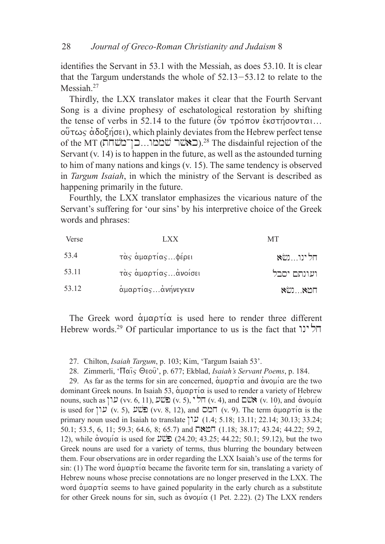identifies the Servant in 53.1 with the Messiah, as does 53.10. It is clear that the Targum understands the whole of 52.13-53.12 to relate to the Messiah.<sup>27</sup>

Thirdly, the LXX translator makes it clear that the Fourth Servant Song is a divine prophesy of eschatological restoration by shifting the tense of verbs in 52.14 to the future ( $\overset{\sim}{\mathcal{O}}v$   $\tau \rho \overset{\sim}{\sigma} \eta \overset{\sim}{\sigma} \rho \overset{\sim}{\sigma} \eta \overset{\sim}{\sigma} \rho \overset{\sim}{\sigma} \eta \overset{\sim}{\sigma} \eta$  $\omega$  $\tau \omega$  $\varsigma$   $\alpha$  $\delta$  $\varphi$  $\zeta$  $\eta$  $\sigma$  $\epsilon$ <sub>i</sub>), which plainly deviates from the Hebrew perfect tense of the MT (באשׁר שממו...כן־משחת).<sup>28</sup> The disdainful rejection of the Servant (v. 14) is to happen in the future, as well as the astounded turning to him of many nations and kings (v. 15). The same tendency is observed in *Targum Isaiah*, in which the ministry of the Servant is described as happening primarily in the future.

Fourthly, the LXX translator emphasizes the vicarious nature of the Servant's suffering for 'our sins' by his interpretive choice of the Greek words and phrases:

| Verse | LXX                 | <b>MT</b>                |
|-------|---------------------|--------------------------|
| 53.4  | τάς άμαρτίαςφέρει   | חלינונשא                 |
| 53.11 | τὰς ἁμαρτίαςἀνοίσει | ועונתם יסבל              |
| 53.12 | άμαρτίας ανήνεγκεν  | $\aleph$ שא $\aleph$ ושא |

The Greek word  $\alpha$ uaptica is used here to render three different Hebrew words.<sup>29</sup> Of particular importance to us is the fact that  $\overline{P}$ 

27. Chilton, *Isaiah Targum*, p. 103; Kim, 'Targum Isaiah 53'.

28. Zimmerli, 'Παίς Θεού', p. 677; Ekblad, *Isaiah's Servant Poems*, p. 184.

29. As far as the terms for sin are concerned,  $\alpha\beta\alpha\rho\tau\alpha$  and  $\alpha\nu\alpha\mu\alpha$  are the two dominant Greek nouns. In Isaiah 53,  $\alpha \mu \alpha \rho \tau \alpha$  is used to render a variety of Hebrew nouns, such as  $V$ ער $($ vv. 6, 11), וואס באט (vv. 5), הל $($ v. 4), and  $\alpha$ ו $($ v. 10), and  $\alpha$ is used for  $V(x, 5)$ ,  $V(x, 5)$ ,  $\overline{C}$  (vv. 8, 12), and  $\overline{C}$   $V(x, 9)$ . The term  $\alpha\mu\alpha\rho\tau\alpha$  is the primary noun used in Isaiah to translate  $[1.4; 5.18; 13.11; 22.14; 30.13; 33.24;$ 50.1; 53.5, 6, 11; 59.3; 64.6, 8; 65.7) and  $\Box$ NET (1.18; 38.17; 43.24; 44.22; 59.2, 12), while ανομία is used for  $\mathcal{W}(\Sigma)$  (24.20; 43.25; 44.22; 50.1; 59.12), but the two Greek nouns are used for a variety of terms, thus blurring the boundary between them. Four observations are in order regarding the LXX Isaiah's use of the terms for sin: (1) The word  $\alpha\mu\alpha\rho\tau\alpha$  became the favorite term for sin, translating a variety of Hebrew nouns whose precise connotations are no longer preserved in the LXX. The word  $\alpha\mu\alpha\rho\tau\alpha$  seems to have gained popularity in the early church as a substitute for other Greek nouns for sin, such as  $\alpha$ νομί $\alpha$  (1 Pet. 2.22). (2) The LXX renders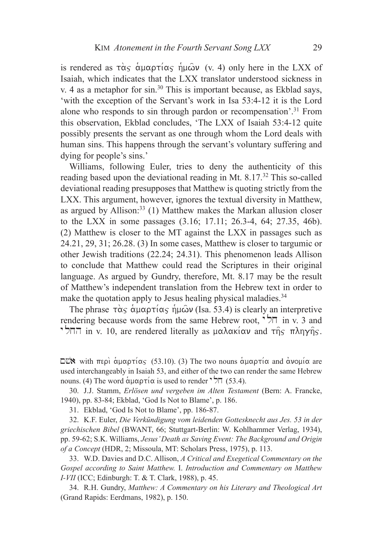is rendered as  $\vec{\alpha}$   $\vec{\alpha}$   $\vec{\alpha}$   $\vec{\alpha}$   $\vec{\alpha}$   $\vec{\alpha}$   $\vec{\alpha}$   $\vec{\alpha}$   $\vec{\alpha}$   $\vec{\alpha}$   $\vec{\alpha}$   $\vec{\alpha}$   $\vec{\alpha}$   $\vec{\alpha}$   $\vec{\alpha}$   $\vec{\alpha}$   $\vec{\alpha}$   $\vec{\alpha}$   $\vec{\alpha}$   $\vec{\alpha}$   $\vec{\alpha}$   $\vec{\alpha}$   $\vec{\alpha}$   $\vec{\alpha}$   $\vec{\alpha}$   $\vec{\alpha}$ Isaiah, which indicates that the LXX translator understood sickness in v. 4 as a metaphor for sin.<sup>30</sup> This is important because, as Ekblad says, 'with the exception of the Servant's work in Isa 53:4-12 it is the Lord alone who responds to sin through pardon or recompensation'.<sup>31</sup> From this observation, Ekblad concludes, 'The LXX of Isaiah 53:4-12 quite possibly presents the servant as one through whom the Lord deals with human sins. This happens through the servant's voluntary suffering and dying for people's sins.'

Williams, following Euler, tries to deny the authenticity of this reading based upon the deviational reading in Mt. 8.17.<sup>32</sup> This so-called deviational reading presupposes that Matthew is quoting strictly from the LXX. This argument, however, ignores the textual diversity in Matthew, as argued by Allison: $33$  (1) Matthew makes the Markan allusion closer to the LXX in some passages (3.16; 17.11; 26.3-4, 64; 27.35, 46b). (2) Matthew is closer to the MT against the LXX in passages such as 24.21, 29, 31; 26.28. (3) In some cases, Matthew is closer to targumic or other Jewish traditions (22.24; 24.31). This phenomenon leads Allison to conclude that Matthew could read the Scriptures in their original language. As argued by Gundry, therefore, Mt. 8.17 may be the result of Matthew's independent translation from the Hebrew text in order to make the quotation apply to Jesus healing physical maladies.<sup>34</sup>

The phrase  $\hat{\tau}$  $\alpha$   $\hat{\alpha}$   $\hat{\alpha}$   $\mu\alpha$  $\alpha$   $\hat{\tau}$   $\hat{\mu}\hat{\omega}$  (Isa. 53.4) is clearly an interpretive rendering because words from the same Hebrew root,  $\overrightarrow{2}$  in v. 3 and r in v. 10, are rendered literally as μαλακίαν and της πληγής.

 $\square$ " with περί αμαρτίας (53.10). (3) The two nouns αμαρτία and ανομία are used interchangeably in Isaiah 53, and either of the two can render the same Hebrew nouns. (4) The word  $\alpha$ μαρτία is used to render  $\overline{\phantom{a}}$  (53.4).

30. J.J. Stamm, *Erlösen und vergeben im Alten Testament* (Bern: A. Francke, 1940), pp. 83-84; Ekblad, 'God Is Not to Blame', p. 186.

31. Ekblad, 'God Is Not to Blame', pp. 186-87.

32. K.F. Euler, *Die Verkündigung vom leidenden Gottesknecht aus Jes. 53 in der griechischen Bibel* (BWANT, 66; Stuttgart-Berlin: W. Kohlhammer Verlag, 1934), pp. 59-62; S.K. Williams, *Jesus' Death as Saving Event: The Background and Origin of a Concept* (HDR, 2; Missoula, MT: Scholars Press, 1975), p. 113.

33. W.D. Davies and D.C. Allison, *A Critical and Exegetical Commentary on the Gospel according to Saint Matthew.* I. *Introduction and Commentary on Matthew I-VII* (ICC; Edinburgh: T. & T. Clark, 1988), p. 45.

34. R.H. Gundry, *Matthew: A Commentary on his Literary and Theological Art* (Grand Rapids: Eerdmans, 1982), p. 150.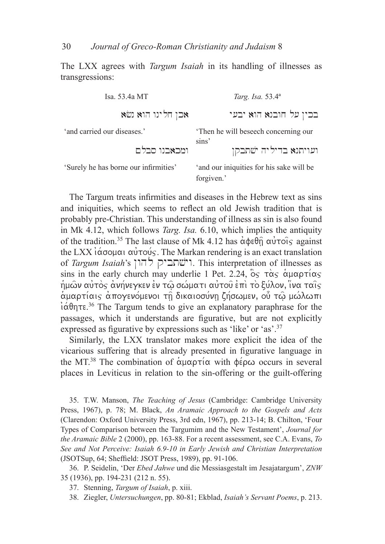30 *Journal of Greco-Roman Christianity and Judaism* 8

The LXX agrees with *Targum Isaiah* in its handling of illnesses as transgressions:

| Isa. 53.4a MT                         | Targ. Isa. 53.4 <sup>a</sup>                           |  |
|---------------------------------------|--------------------------------------------------------|--|
| אכן חלינו הוא נשא                     | בכין על חובנא הוא יבעי                                 |  |
| 'and carried our diseases.'           | Then he will be seech concerning our<br>sins'          |  |
| ומכאבנו סבלם                          | ועויתנא בדיליה ישתבקן                                  |  |
| 'Surely he has borne our infirmities' | 'and our iniquities for his sake will be<br>forgiven.' |  |

The Targum treats infirmities and diseases in the Hebrew text as sins and iniquities, which seems to reflect an old Jewish tradition that is probably pre-Christian. This understanding of illness as sin is also found in Mk 4.12, which follows *Targ. Isa.* 6.10, which implies the antiquity of the tradition.<sup>35</sup> The last clause of Mk 4.12 has  $\alpha\phi \in \theta_{\Pi}$   $\alpha\dot{\alpha}$  rois against the LXX  $i\acute{\alpha}$ <sub>0</sub>  $\alpha$  $\acute{\alpha}$ <sub>0</sub>  $\alpha$  $\acute{\alpha}$ <sup> $\gamma$ </sup> $\alpha$ <sup>*i*</sup> $\alpha$  $\acute{\alpha}$ <sup>3</sup>. The Markan rendering is an exact translation of *Targum Isaiah*'s רישׁתביק להון . This interpretation of illnesses as sins in the early church may underlie 1 Pet. 2.24,  $\delta_s \tau \alpha_s \alpha_{\mu\alpha\rho} \tau (\alpha_s)$  $\eta$ μών αύτὸς ανήνεγκεν εν τώ σώματι αὐτοῦ επὶ τὸ ξύλον, ϊνα ταις αμαρτίαις απογενόμενοι τη δικαιοσύνη ζήσωμεν, ού τω μώλωπι  $\alpha$   $\alpha$  $\theta$ ητε.<sup>36</sup> The Targum tends to give an explanatory paraphrase for the passages, which it understands are figurative, but are not explicitly expressed as figurative by expressions such as 'like' or 'as'.37

Similarly, the LXX translator makes more explicit the idea of the vicarious suffering that is already presented in figurative language in the MT.<sup>38</sup> The combination of  $\alpha \mu \alpha \rho \tau \alpha$  with  $\phi \epsilon \rho \omega$  occurs in several places in Leviticus in relation to the sin-offering or the guilt-offering

35. T.W. Manson, *The Teaching of Jesus* (Cambridge: Cambridge University Press, 1967), p. 78; M. Black, *An Aramaic Approach to the Gospels and Acts* (Clarendon: Oxford University Press, 3rd edn, 1967), pp. 213-14; B. Chilton, 'Four Types of Comparison between the Targumim and the New Testament', *Journal for the Aramaic Bible* 2 (2000), pp. 163-88. For a recent assessment, see C.A. Evans, *To See and Not Perceive: Isaiah 6.9-10 in Early Jewish and Christian Interpretation*  (JSOTSup, 64; Sheffield: JSOT Press, 1989), pp. 91-106.

36. P. Seidelin, 'Der *Ebed Jahwe* und die Messiasgestalt im Jesajatargum', *ZNW* 35 (1936), pp. 194-231 (212 n. 55).

37. Stenning, *Targum of Isaiah*, p. xiii.

38. Ziegler, *Untersuchungen*, pp. 80-81; Ekblad, *Isaiah's Servant Poems*, p. 213.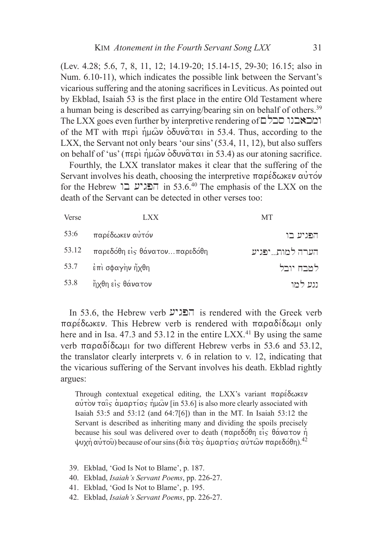(Lev. 4.28; 5.6, 7, 8, 11, 12; 14.19-20; 15.14-15, 29-30; 16.15; also in Num. 6.10-11), which indicates the possible link between the Servant's vicarious suffering and the atoning sacrifices in Leviticus. As pointed out by Ekblad, Isaiah 53 is the first place in the entire Old Testament where a human being is described as carrying/bearing sin on behalf of others.<sup>39</sup>  $The LXX goes even further by interpretive rendering of  $\Box$$ of the MT with  $\pi \epsilon \rho$   $\hat{\rho}$   $\hat{\rho} \omega$   $\partial \delta \nu \hat{\alpha} \tau \alpha$  in 53.4. Thus, according to the LXX, the Servant not only bears 'our sins' (53.4, 11, 12), but also suffers on behalf of 'us' ( $\pi$ ερι ημών οδυναται in 53.4) as our atoning sacrifice.

Fourthly, the LXX translator makes it clear that the suffering of the Servant involves his death, choosing the interpretive  $\pi \alpha \rho \acute{\epsilon} \delta \omega \kappa \epsilon \nu \alpha \dot{\nu} \tau \acute{\omega} \nu$ for the Hebrew הפגיע בו in 53.6.<sup>40</sup> The emphasis of the LXX on the death of the Servant can be detected in other verses too:

| Verse | <b>LXX</b>                      | <b>MT</b>      |
|-------|---------------------------------|----------------|
| 53:6  | παρέδωκεν αύτόν                 | הפגיע בו       |
| 53.12 | παρεδόθη είς θάνατονπαρεδόθη    | הערה למותיפגיע |
|       | 53.7 $\epsilon \pi$ σφαγην ήχθη | למבח יובל      |
| 53.8  | ήχθη είς θάνατον                | נגע למו        |

In 53.6, the Hebrew verb  $\mathcal{Y}$  is rendered with the Greek verb  $\pi\alpha$ ρέδωκεν. This Hebrew verb is rendered with  $\pi\alpha$ ραδίδωμι only here and in Isa. 47.3 and 53.12 in the entire  $LXX<sup>41</sup>$  By using the same verb  $\pi \alpha \rho \alpha \delta$  ( $\delta \omega \mu$  for two different Hebrew verbs in 53.6 and 53.12, the translator clearly interprets v. 6 in relation to v. 12, indicating that the vicarious suffering of the Servant involves his death. Ekblad rightly argues:

Through contextual exegetical editing, the LXX's variant  $\pi \alpha \rho \epsilon \delta \omega \kappa \epsilon \nu$  $\alpha$ ντόν ταίς άμαρτίας ήμων [in 53.6] is also more clearly associated with Isaiah 53:5 and 53:12 (and 64:7[6]) than in the MT. In Isaiah 53:12 the Servant is described as inheriting many and dividing the spoils precisely because his soul was delivered over to death ( $\pi \alpha \beta \delta \theta$ η είς θάνατον ή  $\psi$ υχὴ αὐτοῦ) because of our sins (διὰ τὰς ἁμαρτίας αὐτῶν παρεδόθη).<sup>42</sup>

- 39. Ekblad, 'God Is Not to Blame', p. 187.
- 40. Ekblad, *Isaiah's Servant Poems*, pp. 226-27.
- 41. Ekblad, 'God Is Not to Blame', p. 195.
- 42. Ekblad, *Isaiah's Servant Poems*, pp. 226-27.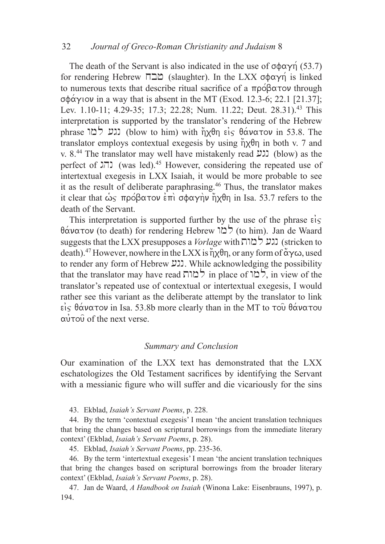The death of the Servant is also indicated in the use of  $\sigma \phi \alpha \gamma \gamma$  (53.7) for rendering Hebrew ΠΔΔ (slaughter). In the LXX σφαγή is linked to numerous texts that describe ritual sacrifice of a  $\pi \rho \circ \beta \alpha \tau \circ \nu$  through  $\sigma \phi \alpha \gamma$  iov in a way that is absent in the MT (Exod. 12.3-6; 22.1 [21.37]; Lev. 1.10-11; 4.29-35; 17.3; 22.28; Num. 11.22; Deut. 28.31).<sup>43</sup> This interpretation is supported by the translator's rendering of the Hebrew phrase (גע למו (blow to him) with ήχθη είς θάνατον in 53.8. The translator employs contextual exegesis by using  $\eta x \theta \eta$  in both v. 7 and v.  $8^{44}$  The translator may well have mistakenly read  $\mu$  (blow) as the perfect of  $\text{L}\overline{\phantom{a}}$  (was led).<sup>45</sup> However, considering the repeated use of intertextual exegesis in LXX Isaiah, it would be more probable to see it as the result of deliberate paraphrasing.<sup>46</sup> Thus, the translator makes it clear that ως πρόβατον επι σφαγην ήχθη in Isa. 53.7 refers to the death of the Servant.

This interpretation is supported further by the use of the phrase  $\epsilon$ <sup>i</sup>s  $\theta \alpha$ νατον (to death) for rendering Hebrew  $\alpha$  (to him). Jan de Waard suggests that the LXX presupposes a *Vorlage* with **בגע למות** (stricken to death).<sup>47</sup> However, nowhere in the LXX is  $\eta \chi \theta \eta$ , or any form of  $\alpha \chi \omega$ , used to render any form of Hebrew  $\mathfrak{U}$ . While acknowledging the possibility that the translator may have read למות in place of  $\zeta$  in view of the translator's repeated use of contextual or intertextual exegesis, I would rather see this variant as the deliberate attempt by the translator to link  $\epsilon$  is  $\theta \alpha \nu \alpha \tau$  ov in Isa. 53.8b more clearly than in the MT to  $\tau$  ou  $\theta \alpha \nu \alpha \tau$ ou  $\alpha$ <sup> $\dot{\alpha}$ </sup> ro $\dot{\alpha}$  of the next verse.

## *Summary and Conclusion*

Our examination of the LXX text has demonstrated that the LXX eschatologizes the Old Testament sacrifices by identifying the Servant with a messianic figure who will suffer and die vicariously for the sins

43. Ekblad, *Isaiah's Servant Poems*, p. 228.

44. By the term 'contextual exegesis' I mean 'the ancient translation techniques that bring the changes based on scriptural borrowings from the immediate literary context' (Ekblad, *Isaiah's Servant Poems*, p. 28).

45. Ekblad, *Isaiah's Servant Poems*, pp. 235-36.

46. By the term 'intertextual exegesis' I mean 'the ancient translation techniques that bring the changes based on scriptural borrowings from the broader literary context' (Ekblad, *Isaiah's Servant Poems*, p. 28).

47. Jan de Waard, *A Handbook on Isaiah* (Winona Lake: Eisenbrauns, 1997), p. 194.